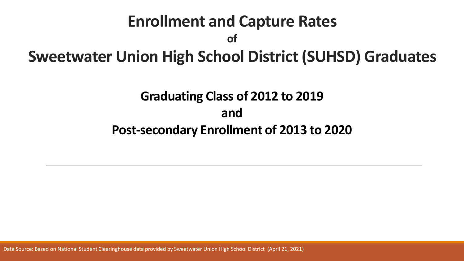# **Enrollment and Capture Rates of Sweetwater Union High School District (SUHSD) Graduates Graduating Class of 2012 to 2019**

**and** 

**Post-secondary Enrollment of 2013 to 2020**

Data Source: Based on National Student Clearinghouse data provided by Sweetwater Union High School District (April 21, 2021)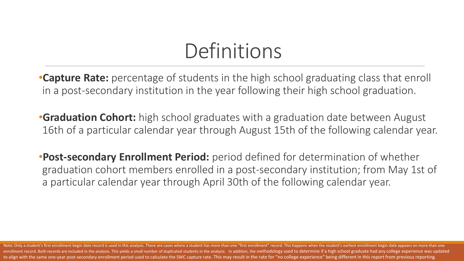# Definitions

•**Capture Rate:** percentage of students in the high school graduating class that enroll in a post-secondary institution in the year following their high school graduation.

**•Graduation Cohort:** high school graduates with a graduation date between August 16th of a particular calendar year through August 15th of the following calendar year.

•**Post-secondary Enrollment Period:** period defined for determination of whether graduation cohort members enrolled in a post-secondary institution; from May 1st of a particular calendar year through April 30th of the following calendar year.

Note: Only a student's first enrollment begin date record is used in this analysis. There are cases where a student has more than one "first enrollment" record. This happens when the student's earliest enrollment begin dat enrollment record. Both records are included in the analysis. This yields a small number of duplicated students in the analysis. In addition, the methodology used to determine if a high school graduate had any college expe to align with the same one-year post-secondary enrollment period used to calculate the SWC capture rate. This may result in the rate for "no college experience" being different in this report from previous reporting.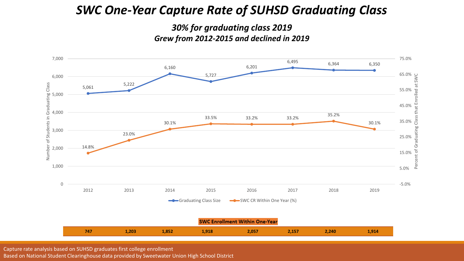#### *SWC One-Year Capture Rate of SUHSD Graduating Class*

#### *30% for graduating class 2019 Grew from 2012-2015 and declined in 2019*



Capture rate analysis based on SUHSD graduates first college enrollment

Based on National Student Clearinghouse data provided by Sweetwater Union High School District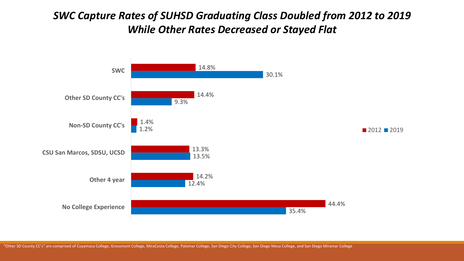#### *SWC Capture Rates of SUHSD Graduating Class Doubled from 2012 to 2019 While Other Rates Decreased or Stayed Flat*



"Other SD County CC's" are comprised of Cuyamaca College, Grossmont College, MiraCosta College, Palomar College, San Diego City College, San Diego Mesa College, and San Diego Miramar College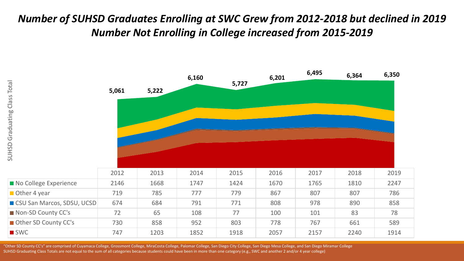#### *Number of SUHSD Graduates Enrolling at SWC Grew from 2012-2018 but declined in 2019 Number Not Enrolling in College increased from 2015-2019*



"Other SD County CC's" are comprised of Cuyamaca College, Grossmont College, MiraCosta College, Palomar College, San Diego City College, San Diego Mesa College, and San Diego Miramar College SUHSD Graduating Class Totals are not equal to the sum of all categories because students could have been in more than one category (e.g., SWC and another 2 and/or 4 year college)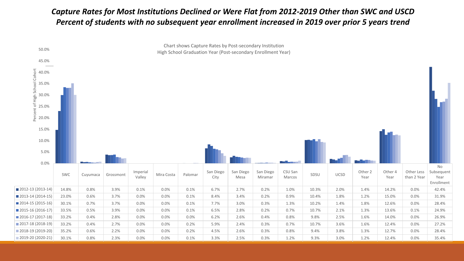#### *Capture Rates for Most Institutions Declined or Were Flat from 2012-2019 Other than SWC and USCD Percent of students with no subsequent year enrollment increased in 2019 over prior 5 years trend*

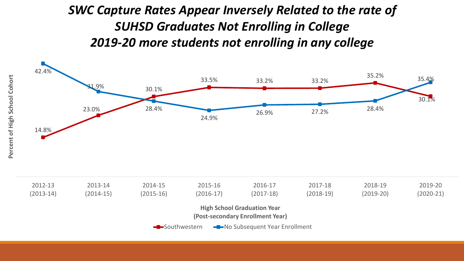### *SWC Capture Rates Appear Inversely Related to the rate of SUHSD Graduates Not Enrolling in College 2019-20 more students not enrolling in any college*



**High School Graduation Year** 

**(Post-secondary Enrollment Year)**

Southwestern **-D-No Subsequent Year Enrollment**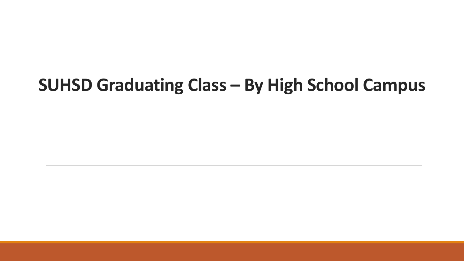## **SUHSD Graduating Class – By High School Campus**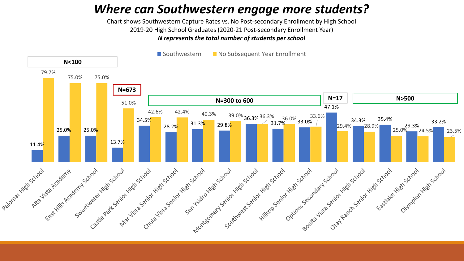### *Where can Southwestern engage more students?*

Chart shows Southwestern Capture Rates vs. No Post-secondary Enrollment by High School 2019-20 High School Graduates (2020-21 Post-secondary Enrollment Year) *N represents the total number of students per school*

■ Southwestern ■ No Subsequent Year Enrollment

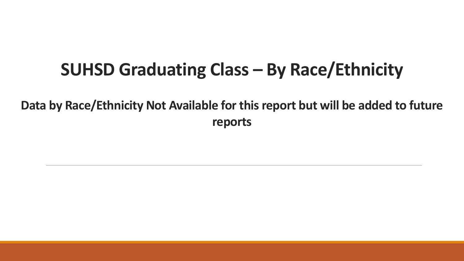### **SUHSD Graduating Class – By Race/Ethnicity**

**Data by Race/Ethnicity Not Available for this report but will be added to future reports**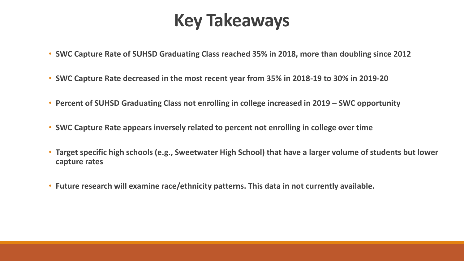### **Key Takeaways**

- **SWC Capture Rate of SUHSD Graduating Class reached 35% in 2018, more than doubling since 2012**
- **SWC Capture Rate decreased in the most recent year from 35% in 2018-19 to 30% in 2019-20**
- **Percent of SUHSD Graduating Class not enrolling in college increased in 2019 – SWC opportunity**
- **SWC Capture Rate appears inversely related to percent not enrolling in college over time**
- **Target specific high schools (e.g., Sweetwater High School) that have a larger volume of students but lower capture rates**
- **Future research will examine race/ethnicity patterns. This data in not currently available.**